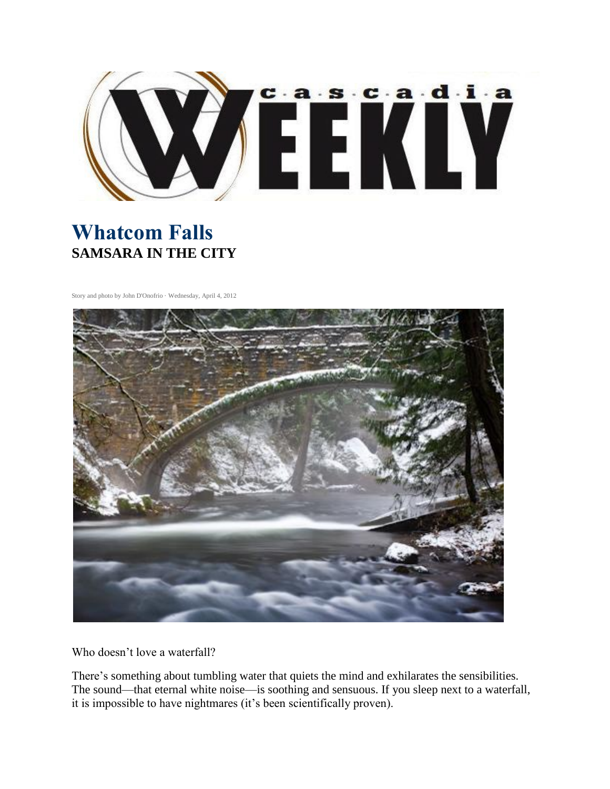

## **Whatcom Falls SAMSARA IN THE CITY**

Story and photo by John D'Onofrio · Wednesday, April 4, 2012



Who doesn't love a waterfall?

There's something about tumbling water that quiets the mind and exhilarates the sensibilities. The sound—that eternal white noise—is soothing and sensuous. If you sleep next to a waterfall, it is impossible to have nightmares (it's been scientifically proven).